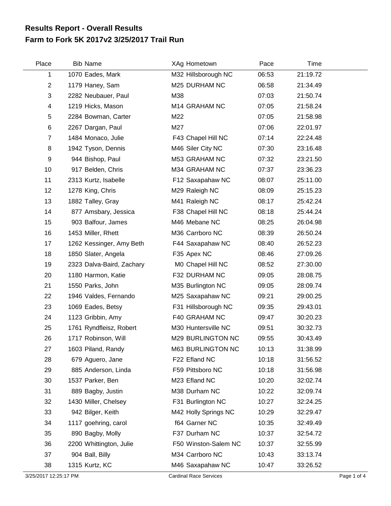## **Farm to Fork 5K 2017v2 3/25/2017 Trail Run Results Report - Overall Results**

| Place | <b>Bib Name</b>           | XAg Hometown         | Pace  | Time     |  |
|-------|---------------------------|----------------------|-------|----------|--|
| 1     | 1070 Eades, Mark          | M32 Hillsborough NC  | 06:53 | 21:19.72 |  |
| 2     | 1179 Haney, Sam           | M25 DURHAM NC        | 06:58 | 21:34.49 |  |
| 3     | 2282 Neubauer, Paul       | M38                  | 07:03 | 21:50.74 |  |
| 4     | 1219 Hicks, Mason         | M14 GRAHAM NC        | 07:05 | 21:58.24 |  |
| 5     | 2284 Bowman, Carter       | M22                  | 07:05 | 21:58.98 |  |
| 6     | 2267 Dargan, Paul         | M27                  | 07:06 | 22:01.97 |  |
| 7     | 1484 Monaco, Julie        | F43 Chapel Hill NC   | 07:14 | 22:24.48 |  |
| 8     | 1942 Tyson, Dennis        | M46 Siler City NC    | 07:30 | 23:16.48 |  |
| 9     | 944 Bishop, Paul          | M53 GRAHAM NC        | 07:32 | 23:21.50 |  |
| 10    | 917 Belden, Chris         | M34 GRAHAM NC        | 07:37 | 23:36.23 |  |
| 11    | 2313 Kurtz, Isabelle      | F12 Saxapahaw NC     | 08:07 | 25:11.00 |  |
| 12    | 1278 King, Chris          | M29 Raleigh NC       | 08:09 | 25:15.23 |  |
| 13    | 1882 Talley, Gray         | M41 Raleigh NC       | 08:17 | 25:42.24 |  |
| 14    | 877 Amsbary, Jessica      | F38 Chapel Hill NC   | 08:18 | 25:44.24 |  |
| 15    | 903 Balfour, James        | M46 Mebane NC        | 08:25 | 26:04.98 |  |
| 16    | 1453 Miller, Rhett        | M36 Carrboro NC      | 08:39 | 26:50.24 |  |
| 17    | 1262 Kessinger, Amy Beth  | F44 Saxapahaw NC     | 08:40 | 26:52.23 |  |
| 18    | 1850 Slater, Angela       | F35 Apex NC          | 08:46 | 27:09.26 |  |
| 19    | 2323 Dalva-Baird, Zachary | M0 Chapel Hill NC    | 08:52 | 27:30.00 |  |
| 20    | 1180 Harmon, Katie        | F32 DURHAM NC        | 09:05 | 28:08.75 |  |
| 21    | 1550 Parks, John          | M35 Burlington NC    | 09:05 | 28:09.74 |  |
| 22    | 1946 Valdes, Fernando     | M25 Saxapahaw NC     | 09:21 | 29:00.25 |  |
| 23    | 1069 Eades, Betsy         | F31 Hillsborough NC  | 09:35 | 29:43.01 |  |
| 24    | 1123 Gribbin, Amy         | F40 GRAHAM NC        | 09:47 | 30:20.23 |  |
| 25    | 1761 Ryndfleisz, Robert   | M30 Huntersville NC  | 09:51 | 30:32.73 |  |
| 26    | 1717 Robinson, Will       | M29 BURLINGTON NC    | 09:55 | 30:43.49 |  |
| 27    | 1603 Piland, Randy        | M63 BURLINGTON NC    | 10:13 | 31:38.99 |  |
| 28    | 679 Aguero, Jane          | F22 Efland NC        | 10:18 | 31:56.52 |  |
| 29    | 885 Anderson, Linda       | F59 Pittsboro NC     | 10:18 | 31:56.98 |  |
| 30    | 1537 Parker, Ben          | M23 Efland NC        | 10:20 | 32:02.74 |  |
| 31    | 889 Bagby, Justin         | M38 Durham NC        | 10:22 | 32:09.74 |  |
| 32    | 1430 Miller, Chelsey      | F31 Burlington NC    | 10:27 | 32:24.25 |  |
| 33    | 942 Bilger, Keith         | M42 Holly Springs NC | 10:29 | 32:29.47 |  |
| 34    | 1117 goehring, carol      | f64 Garner NC        | 10:35 | 32:49.49 |  |
| 35    | 890 Bagby, Molly          | F37 Durham NC        | 10:37 | 32:54.72 |  |
| 36    | 2200 Whittington, Julie   | F50 Winston-Salem NC | 10:37 | 32:55.99 |  |
| 37    | 904 Ball, Billy           | M34 Carrboro NC      | 10:43 | 33:13.74 |  |
| 38    | 1315 Kurtz, KC            | M46 Saxapahaw NC     | 10:47 | 33:26.52 |  |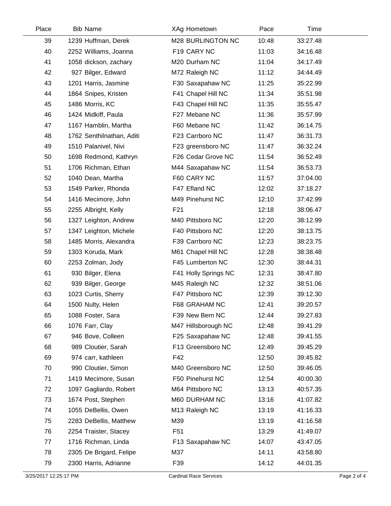| Place | <b>Bib Name</b>           | XAg Hometown         | Pace  | Time     |  |
|-------|---------------------------|----------------------|-------|----------|--|
| 39    | 1239 Huffman, Derek       | M28 BURLINGTON NC    | 10:48 | 33:27.48 |  |
| 40    | 2252 Williams, Joanna     | F19 CARY NC          | 11:03 | 34:16.48 |  |
| 41    | 1058 dickson, zachary     | M20 Durham NC        | 11:04 | 34:17.49 |  |
| 42    | 927 Bilger, Edward        | M72 Raleigh NC       | 11:12 | 34:44.49 |  |
| 43    | 1201 Harris, Jasmine      | F30 Saxapahaw NC     | 11:25 | 35:22.99 |  |
| 44    | 1864 Snipes, Kristen      | F41 Chapel Hill NC   | 11:34 | 35:51.98 |  |
| 45    | 1486 Morris, KC           | F43 Chapel Hill NC   | 11:35 | 35:55.47 |  |
| 46    | 1424 Midkiff, Paula       | F27 Mebane NC        | 11:36 | 35:57.99 |  |
| 47    | 1167 Hamblin, Martha      | F60 Mebane NC        | 11:42 | 36:14.75 |  |
| 48    | 1762 Senthilnathan, Aditi | F23 Carrboro NC      | 11:47 | 36:31.73 |  |
| 49    | 1510 Palanivel, Nivi      | F23 greensboro NC    | 11:47 | 36:32.24 |  |
| 50    | 1698 Redmond, Kathryn     | F26 Cedar Grove NC   | 11:54 | 36:52.49 |  |
| 51    | 1706 Richman, Ethan       | M44 Saxapahaw NC     | 11:54 | 36:53.73 |  |
| 52    | 1040 Dean, Martha         | F60 CARY NC          | 11:57 | 37:04.00 |  |
| 53    | 1549 Parker, Rhonda       | F47 Efland NC        | 12:02 | 37:18.27 |  |
| 54    | 1416 Mecimore, John       | M49 Pinehurst NC     | 12:10 | 37:42.99 |  |
| 55    | 2255 Albright, Kelly      | F <sub>21</sub>      | 12:18 | 38:06.47 |  |
| 56    | 1327 Leighton, Andrew     | M40 Pittsboro NC     | 12:20 | 38:12.99 |  |
| 57    | 1347 Leighton, Michele    | F40 Pittsboro NC     | 12:20 | 38:13.75 |  |
| 58    | 1485 Morris, Alexandra    | F39 Carrboro NC      | 12:23 | 38:23.75 |  |
| 59    | 1303 Koruda, Mark         | M61 Chapel Hill NC   | 12:28 | 38:38.48 |  |
| 60    | 2253 Zolman, Jody         | F45 Lumberton NC     | 12:30 | 38:44.31 |  |
| 61    | 930 Bilger, Elena         | F41 Holly Springs NC | 12:31 | 38:47.80 |  |
| 62    | 939 Bilger, George        | M45 Raleigh NC       | 12:32 | 38:51.06 |  |
| 63    | 1023 Curtis, Sherry       | F47 Pittsboro NC     | 12:39 | 39:12.30 |  |
| 64    | 1500 Nulty, Helen         | F68 GRAHAM NC        | 12:41 | 39:20.57 |  |
| 65    | 1088 Foster, Sara         | F39 New Bern NC      | 12:44 | 39:27.83 |  |
| 66    | 1076 Farr, Clay           | M47 Hillsborough NC  | 12:48 | 39:41.29 |  |
| 67    | 946 Bove, Colleen         | F25 Saxapahaw NC     | 12:48 | 39:41.55 |  |
| 68    | 989 Cloutier, Sarah       | F13 Greensboro NC    | 12:49 | 39:45.29 |  |
| 69    | 974 carr, kathleen        | F42                  | 12:50 | 39:45.82 |  |
| 70    | 990 Cloutier, Simon       | M40 Greensboro NC    | 12:50 | 39:46.05 |  |
| 71    | 1419 Mecimore, Susan      | F50 Pinehurst NC     | 12:54 | 40:00.30 |  |
| 72    | 1097 Gagliardo, Robert    | M64 Pittsboro NC     | 13:13 | 40:57.35 |  |
| 73    | 1674 Post, Stephen        | M60 DURHAM NC        | 13:16 | 41:07.82 |  |
| 74    | 1055 DeBellis, Owen       | M13 Raleigh NC       | 13:19 | 41:16.33 |  |
| 75    | 2283 DeBellis, Matthew    | M39                  | 13:19 | 41:16.58 |  |
| 76    | 2254 Traister, Stacey     | F <sub>51</sub>      | 13:29 | 41:49.07 |  |
| 77    | 1716 Richman, Linda       | F13 Saxapahaw NC     | 14:07 | 43:47.05 |  |
| 78    | 2305 De Brigard, Felipe   | M37                  | 14:11 | 43:58.80 |  |
| 79    | 2300 Harris, Adrianne     | F39                  | 14:12 | 44:01.35 |  |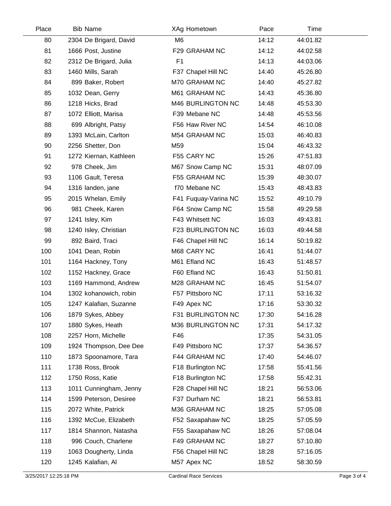| Place | <b>Bib Name</b>        | XAg Hometown         | Pace  | Time     |  |
|-------|------------------------|----------------------|-------|----------|--|
| 80    | 2304 De Brigard, David | M <sub>6</sub>       | 14:12 | 44:01.82 |  |
| 81    | 1666 Post, Justine     | F29 GRAHAM NC        | 14:12 | 44:02.58 |  |
| 82    | 2312 De Brigard, Julia | F <sub>1</sub>       | 14:13 | 44:03.06 |  |
| 83    | 1460 Mills, Sarah      | F37 Chapel Hill NC   | 14:40 | 45:26.80 |  |
| 84    | 899 Baker, Robert      | M70 GRAHAM NC        | 14:40 | 45:27.82 |  |
| 85    | 1032 Dean, Gerry       | M61 GRAHAM NC        | 14:43 | 45:36.80 |  |
| 86    | 1218 Hicks, Brad       | M46 BURLINGTON NC    | 14:48 | 45:53.30 |  |
| 87    | 1072 Elliott, Marisa   | F39 Mebane NC        | 14:48 | 45:53.56 |  |
| 88    | 699 Albright, Patsy    | F56 Haw River NC     | 14:54 | 46:10.08 |  |
| 89    | 1393 McLain, Carlton   | M54 GRAHAM NC        | 15:03 | 46:40.83 |  |
| 90    | 2256 Shetter, Don      | M59                  | 15:04 | 46:43.32 |  |
| 91    | 1272 Kiernan, Kathleen | F55 CARY NC          | 15:26 | 47:51.83 |  |
| 92    | 978 Cheek, Jim         | M67 Snow Camp NC     | 15:31 | 48:07.09 |  |
| 93    | 1106 Gault, Teresa     | F55 GRAHAM NC        | 15:39 | 48:30.07 |  |
| 94    | 1316 landen, jane      | f70 Mebane NC        | 15:43 | 48:43.83 |  |
| 95    | 2015 Whelan, Emily     | F41 Fuquay-Varina NC | 15:52 | 49:10.79 |  |
| 96    | 981 Cheek, Karen       | F64 Snow Camp NC     | 15:58 | 49:29.58 |  |
| 97    | 1241 Isley, Kim        | F43 Whitsett NC      | 16:03 | 49:43.81 |  |
| 98    | 1240 Isley, Christian  | F23 BURLINGTON NC    | 16:03 | 49:44.58 |  |
| 99    | 892 Baird, Traci       | F46 Chapel Hill NC   | 16:14 | 50:19.82 |  |
| 100   | 1041 Dean, Robin       | M68 CARY NC          | 16:41 | 51:44.07 |  |
| 101   | 1164 Hackney, Tony     | M61 Efland NC        | 16:43 | 51:48.57 |  |
| 102   | 1152 Hackney, Grace    | F60 Efland NC        | 16:43 | 51:50.81 |  |
| 103   | 1169 Hammond, Andrew   | M28 GRAHAM NC        | 16:45 | 51:54.07 |  |
| 104   | 1302 kohanowich, robin | F57 Pittsboro NC     | 17:11 | 53:16.32 |  |
| 105   | 1247 Kalafian, Suzanne | F49 Apex NC          | 17:16 | 53:30.32 |  |
| 106   | 1879 Sykes, Abbey      | F31 BURLINGTON NC    | 17:30 | 54:16.28 |  |
| 107   | 1880 Sykes, Heath      | M36 BURLINGTON NC    | 17:31 | 54:17.32 |  |
| 108   | 2257 Horn, Michelle    | F46                  | 17:35 | 54:31.05 |  |
| 109   | 1924 Thompson, Dee Dee | F49 Pittsboro NC     | 17:37 | 54:36.57 |  |
| 110   | 1873 Spoonamore, Tara  | F44 GRAHAM NC        | 17:40 | 54:46.07 |  |
| 111   | 1738 Ross, Brook       | F18 Burlington NC    | 17:58 | 55:41.56 |  |
| 112   | 1750 Ross, Katie       | F18 Burlington NC    | 17:58 | 55:42.31 |  |
| 113   | 1011 Cunningham, Jenny | F28 Chapel Hill NC   | 18:21 | 56:53.06 |  |
| 114   | 1599 Peterson, Desiree | F37 Durham NC        | 18:21 | 56:53.81 |  |
| 115   | 2072 White, Patrick    | M36 GRAHAM NC        | 18:25 | 57:05.08 |  |
| 116   | 1392 McCue, Elizabeth  | F52 Saxapahaw NC     | 18:25 | 57:05.59 |  |
| 117   | 1814 Shannon, Natasha  | F55 Saxapahaw NC     | 18:26 | 57:08.04 |  |
| 118   | 996 Couch, Charlene    | F49 GRAHAM NC        | 18:27 | 57:10.80 |  |
| 119   | 1063 Dougherty, Linda  | F56 Chapel Hill NC   | 18:28 | 57:16.05 |  |
| 120   | 1245 Kalafian, Al      | M57 Apex NC          | 18:52 | 58:30.59 |  |